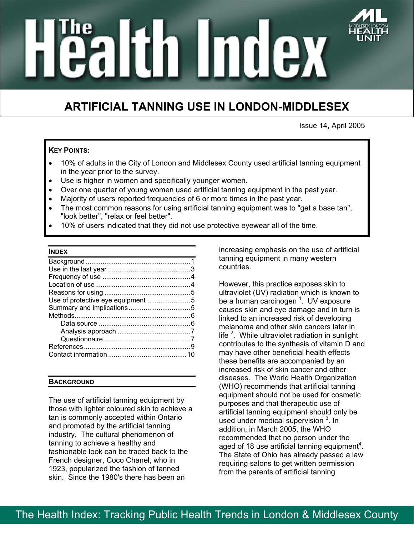# aliin Index

# **ARTIFICIAL TANNING USE IN LONDON-MIDDLESEX**

Issue 14, April 2005

# **KEY POINTS:**

- 10% of adults in the City of London and Middlesex County used artificial tanning equipment in the year prior to the survey.
- Use is higher in women and specifically younger women.
- Over one quarter of young women used artificial tanning equipment in the past year.
- Majority of users reported frequencies of 6 or more times in the past year.
- The most common reasons for using artificial tanning equipment was to "get a base tan", "look better", "relax or feel better".
- 10% of users indicated that they did not use protective eyewear all of the time.

#### **INDEX**

# **BACKGROUND**

The use of artificial tanning equipment by those with lighter coloured skin to achieve a tan is commonly accepted within Ontario and promoted by the artificial tanning industry. The cultural phenomenon of tanning to achieve a healthy and fashionable look can be traced back to the French designer, Coco Chanel, who in 1923, popularized the fashion of tanned skin. Since the 1980's there has been an

increasing emphasis on the use of artificial tanning equipment in many western countries.

However, this practice exposes skin to ultraviolet (UV) radiation which is known to be a human carcinogen <sup>1</sup>. UV exposure causes skin and eye damage and in turn is linked to an increased risk of developing melanoma and other skin cancers later in life  $2$ . While ultraviolet radiation in sunlight contributes to the synthesis of vitamin D and may have other beneficial health effects these benefits are accompanied by an increased risk of skin cancer and other diseases. The World Health Organization (WHO) recommends that artificial tanning equipment should not be used for cosmetic purposes and that therapeutic use of artificial tanning equipment should only be used under medical supervision <sup>3</sup>. In addition, in March 2005, the WHO recommended that no person under the aged of 18 use artificial tanning equipment<sup>4</sup>. The State of Ohio has already passed a law requiring salons to get written permission from the parents of artificial tanning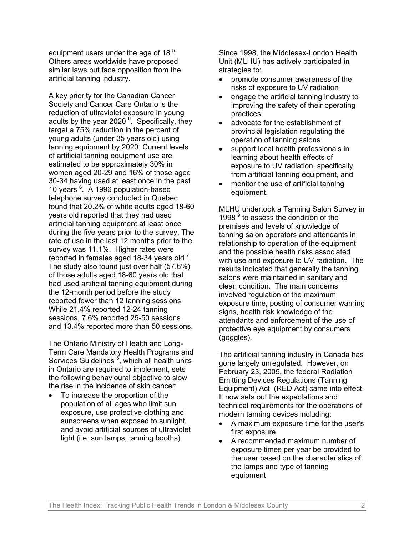equipment users under the age of 18 $5$ . Others areas worldwide have proposed similar laws but face opposition from the artificial tanning industry.

A key priority for the Canadian Cancer Society and Cancer Care Ontario is the reduction of ultraviolet exposure in young adults by the year 2020<sup>6</sup>. Specifically, they target a 75% reduction in the percent of young adults (under 35 years old) using tanning equipment by 2020. Current levels of artificial tanning equipment use are estimated to be approximately 30% in women aged 20-29 and 16% of those aged 30-34 having used at least once in the past 10 years <sup>6</sup>. A 1996 population-based telephone survey conducted in Quebec found that 20.2% of white adults aged 18-60 years old reported that they had used artificial tanning equipment at least once during the five years prior to the survey. The rate of use in the last 12 months prior to the survey was 11.1%. Higher rates were reported in females aged 18-34 years old  $<sup>7</sup>$ .</sup> The study also found just over half (57.6%) of those adults aged 18-60 years old that had used artificial tanning equipment during the 12-month period before the study reported fewer than 12 tanning sessions. While 21.4% reported 12-24 tanning sessions, 7.6% reported 25-50 sessions and 13.4% reported more than 50 sessions.

The Ontario Ministry of Health and Long-Term Care Mandatory Health Programs and Services Guidelines <sup>8</sup>, which all health units in Ontario are required to implement, sets the following behavioural objective to slow the rise in the incidence of skin cancer:

• To increase the proportion of the population of all ages who limit sun exposure, use protective clothing and sunscreens when exposed to sunlight, and avoid artificial sources of ultraviolet light (i.e. sun lamps, tanning booths).

Since 1998, the Middlesex-London Health Unit (MLHU) has actively participated in strategies to:

- promote consumer awareness of the risks of exposure to UV radiation
- engage the artificial tanning industry to improving the safety of their operating practices
- advocate for the establishment of provincial legislation regulating the operation of tanning salons
- support local health professionals in learning about health effects of exposure to UV radiation, specifically from artificial tanning equipment, and
- monitor the use of artificial tanning equipment.

MLHU undertook a Tanning Salon Survey in 1998<sup>9</sup> to assess the condition of the premises and levels of knowledge of tanning salon operators and attendants in relationship to operation of the equipment and the possible health risks associated with use and exposure to UV radiation. The results indicated that generally the tanning salons were maintained in sanitary and clean condition. The main concerns involved regulation of the maximum exposure time, posting of consumer warning signs, health risk knowledge of the attendants and enforcement of the use of protective eye equipment by consumers (goggles).

The artificial tanning industry in Canada has gone largely unregulated. However, on February 23, 2005, the federal Radiation Emitting Devices Regulations (Tanning Equipment) Act (RED Act) came into effect. It now sets out the expectations and technical requirements for the operations of modern tanning devices including:

- A maximum exposure time for the user's first exposure
- A recommended maximum number of exposure times per year be provided to the user based on the characteristics of the lamps and type of tanning equipment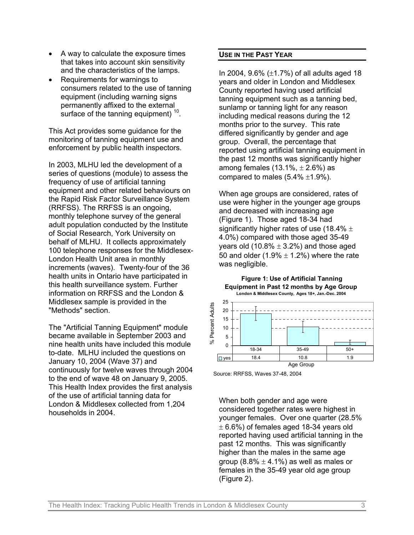- A way to calculate the exposure times that takes into account skin sensitivity and the characteristics of the lamps.
- Requirements for warnings to consumers related to the use of tanning equipment (including warning signs permanently affixed to the external surface of the tanning equipment)<sup>10</sup>.

This Act provides some guidance for the monitoring of tanning equipment use and enforcement by public health inspectors.

In 2003, MLHU led the development of a series of questions (module) to assess the frequency of use of artificial tanning equipment and other related behaviours on the Rapid Risk Factor Surveillance System (RRFSS). The RRFSS is an ongoing, monthly telephone survey of the general adult population conducted by the Institute of Social Research, York University on behalf of MLHU. It collects approximately 100 telephone responses for the Middlesex-London Health Unit area in monthly increments (waves). Twenty-four of the 36 health units in Ontario have participated in this health surveillance system. Further information on RRFSS and the London & Middlesex sample is provided in the "Methods" section.

The "Artificial Tanning Equipment" module became available in September 2003 and nine health units have included this module to-date. MLHU included the questions on January 10, 2004 (Wave 37) and continuously for twelve waves through 2004 to the end of wave 48 on January 9, 2005. This Health Index provides the first analysis of the use of artificial tanning data for London & Middlesex collected from 1,204 households in 2004.

#### **USE IN THE PAST YEAR**

In 2004,  $9.6\%$  ( $\pm$ 1.7%) of all adults aged 18 years and older in London and Middlesex County reported having used artificial tanning equipment such as a tanning bed, sunlamp or tanning light for any reason including medical reasons during the 12 months prior to the survey. This rate differed significantly by gender and age group. Overall, the percentage that reported using artificial tanning equipment in the past 12 months was significantly higher among females  $(13.1\% , \pm 2.6\%)$  as compared to males  $(5.4\% \pm 1.9\%).$ 

When age groups are considered, rates of use were higher in the younger age groups and decreased with increasing age (Figure 1). Those aged 18-34 had significantly higher rates of use (18.4%  $\pm$ 4.0%) compared with those aged 35-49 vears old  $(10.8\% \pm 3.2\%)$  and those aged 50 and older (1.9%  $\pm$  1.2%) where the rate was negligible.

 **Figure 1: Use of Artificial Tanning Equipment in Past 12 months by Age Group London & Middlesex County, Ages 18+, Jan.-Dec. 2004**



Source: RRFSS, Waves 37-48, 2004

When both gender and age were considered together rates were highest in younger females. Over one quarter (28.5%  $\pm$  6.6%) of females aged 18-34 years old reported having used artificial tanning in the past 12 months. This was significantly higher than the males in the same age group (8.8%  $\pm$  4.1%) as well as males or females in the 35-49 year old age group (Figure 2).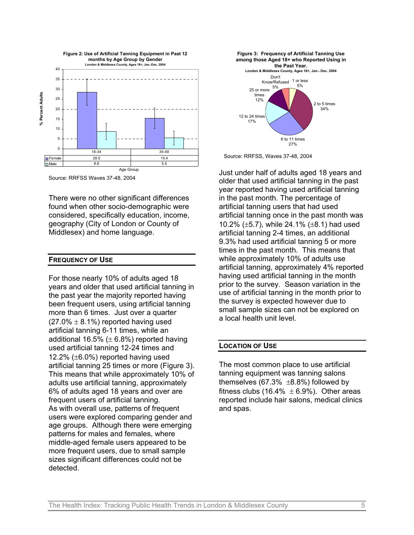

Source: RRFSS Waves 37-48, 2004

There were no other significant differences found when other socio-demographic were considered, specifically education, income, geography (City of London or County of Middlesex) and home language.

#### **FREQUENCY OF USE**

For those nearly 10% of adults aged 18 years and older that used artificial tanning in the past year the majority reported having been frequent users, using artificial tanning more than 6 times. Just over a quarter  $(27.0\% \pm 8.1\%)$  reported having used artificial tanning 6-11 times, while an additional 16.5%  $(\pm 6.8%)$  reported having used artificial tanning 12-24 times and 12.2% (±6.0%) reported having used artificial tanning 25 times or more (Figure 3). This means that while approximately 10% of adults use artificial tanning, approximately 6% of adults aged 18 years and over are frequent users of artificial tanning. As with overall use, patterns of frequent users were explored comparing gender and age groups. Although there were emerging patterns for males and females, where middle-aged female users appeared to be more frequent users, due to small sample sizes significant differences could not be detected.



Source: RRFSS, Waves 37-48, 2004

Just under half of adults aged 18 years and older that used artificial tanning in the past year reported having used artificial tanning in the past month. The percentage of artificial tanning users that had used artificial tanning once in the past month was 10.2% (±5.7), while 24.1% (±8.1) had used artificial tanning 2-4 times, an additional 9.3% had used artificial tanning 5 or more times in the past month. This means that while approximately 10% of adults use artificial tanning, approximately 4% reported having used artificial tanning in the month prior to the survey. Season variation in the use of artificial tanning in the month prior to the survey is expected however due to small sample sizes can not be explored on a local health unit level.

#### **LOCATION OF USE**

The most common place to use artificial tanning equipment was tanning salons themselves  $(67.3\% \pm 8.8\%)$  followed by fitness clubs (16.4%  $\pm$  6.9%). Other areas reported include hair salons, medical clinics and spas.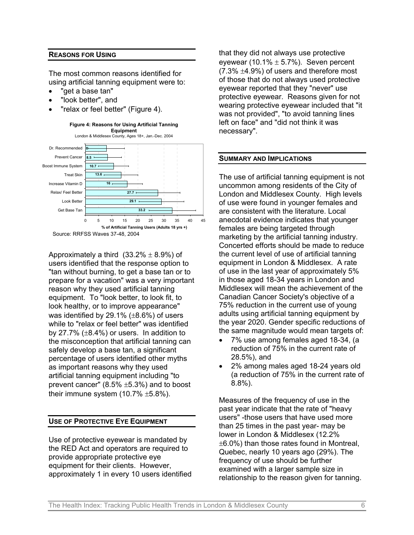#### **REASONS FOR USING**

The most common reasons identified for using artificial tanning equipment were to:

- "get a base tan"
- "look better", and
- "relax or feel better" (Figure 4).



Approximately a third  $(33.2\% \pm 8.9\%)$  of users identified that the response option to "tan without burning, to get a base tan or to prepare for a vacation" was a very important reason why they used artificial tanning equipment. To "look better, to look fit, to look healthy, or to improve appearance" was identified by 29.1% (±8.6%) of users while to "relax or feel better" was identified by 27.7%  $(\pm 8.4\%)$  or users. In addition to the misconception that artificial tanning can safely develop a base tan, a significant percentage of users identified other myths as important reasons why they used artificial tanning equipment including "to prevent cancer" (8.5% ±5.3%) and to boost their immune system  $(10.7\% \pm 5.8\%).$ 

#### **USE OF PROTECTIVE EYE EQUIPMENT**

Use of protective eyewear is mandated by the RED Act and operators are required to provide appropriate protective eye equipment for their clients. However, approximately 1 in every 10 users identified that they did not always use protective eyewear (10.1%  $\pm$  5.7%). Seven percent  $(7.3\% \pm 4.9\%)$  of users and therefore most of those that do not always used protective eyewear reported that they "never" use protective eyewear. Reasons given for not wearing protective eyewear included that "it was not provided", "to avoid tanning lines left on face" and "did not think it was necessary".

#### **SUMMARY AND IMPLICATIONS**

The use of artificial tanning equipment is not uncommon among residents of the City of London and Middlesex County. High levels of use were found in younger females and are consistent with the literature. Local anecdotal evidence indicates that younger females are being targeted through marketing by the artificial tanning industry. Concerted efforts should be made to reduce the current level of use of artificial tanning equipment in London & Middlesex. A rate of use in the last year of approximately 5% in those aged 18-34 years in London and Middlesex will mean the achievement of the Canadian Cancer Society's objective of a 75% reduction in the current use of young adults using artificial tanning equipment by the year 2020. Gender specific reductions of the same magnitude would mean targets of:

- 7% use among females aged 18-34, (a reduction of 75% in the current rate of 28.5%), and
- 2% among males aged 18-24 years old (a reduction of 75% in the current rate of 8.8%).

Measures of the frequency of use in the past year indicate that the rate of "heavy users" -those users that have used more than 25 times in the past year- may be lower in London & Middlesex (12.2%  $\pm 6.0\%$ ) than those rates found in Montreal. Quebec, nearly 10 years ago (29%). The frequency of use should be further examined with a larger sample size in relationship to the reason given for tanning.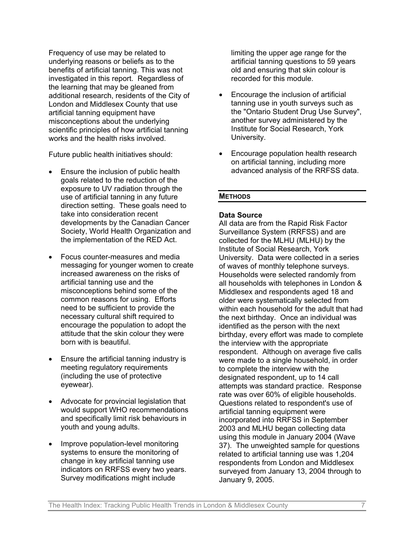Frequency of use may be related to underlying reasons or beliefs as to the benefits of artificial tanning. This was not investigated in this report. Regardless of the learning that may be gleaned from additional research, residents of the City of London and Middlesex County that use artificial tanning equipment have misconceptions about the underlying scientific principles of how artificial tanning works and the health risks involved.

Future public health initiatives should:

- Ensure the inclusion of public health goals related to the reduction of the exposure to UV radiation through the use of artificial tanning in any future direction setting. These goals need to take into consideration recent developments by the Canadian Cancer Society, World Health Organization and the implementation of the RED Act.
- Focus counter-measures and media messaging for younger women to create increased awareness on the risks of artificial tanning use and the misconceptions behind some of the common reasons for using. Efforts need to be sufficient to provide the necessary cultural shift required to encourage the population to adopt the attitude that the skin colour they were born with is beautiful.
- Ensure the artificial tanning industry is meeting regulatory requirements (including the use of protective eyewear).
- Advocate for provincial legislation that would support WHO recommendations and specifically limit risk behaviours in youth and young adults.
- Improve population-level monitoring systems to ensure the monitoring of change in key artificial tanning use indicators on RRFSS every two years. Survey modifications might include

limiting the upper age range for the artificial tanning questions to 59 years old and ensuring that skin colour is recorded for this module.

- Encourage the inclusion of artificial tanning use in youth surveys such as the "Ontario Student Drug Use Survey", another survey administered by the Institute for Social Research, York University.
- Encourage population health research on artificial tanning, including more advanced analysis of the RRFSS data.

# **METHODS**

# **Data Source**

All data are from the Rapid Risk Factor Surveillance System (RRFSS) and are collected for the MLHU (MLHU) by the Institute of Social Research, York University. Data were collected in a series of waves of monthly telephone surveys. Households were selected randomly from all households with telephones in London & Middlesex and respondents aged 18 and older were systematically selected from within each household for the adult that had the next birthday. Once an individual was identified as the person with the next birthday, every effort was made to complete the interview with the appropriate respondent. Although on average five calls were made to a single household, in order to complete the interview with the designated respondent, up to 14 call attempts was standard practice. Response rate was over 60% of eligible households. Questions related to respondent's use of artificial tanning equipment were incorporated into RRFSS in September 2003 and MLHU began collecting data using this module in January 2004 (Wave 37). The unweighted sample for questions related to artificial tanning use was 1,204 respondents from London and Middlesex surveyed from January 13, 2004 through to January 9, 2005.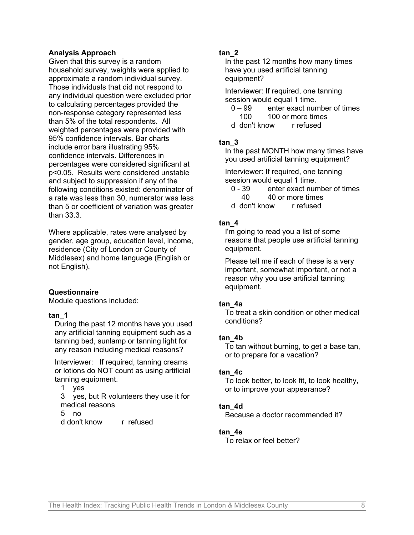#### **Analysis Approach**

Given that this survey is a random household survey, weights were applied to approximate a random individual survey. Those individuals that did not respond to any individual question were excluded prior to calculating percentages provided the non-response category represented less than 5% of the total respondents. All weighted percentages were provided with 95% confidence intervals. Bar charts include error bars illustrating 95% confidence intervals. Differences in percentages were considered significant at p<0.05. Results were considered unstable and subject to suppression if any of the following conditions existed: denominator of a rate was less than 30, numerator was less than 5 or coefficient of variation was greater than 33.3.

Where applicable, rates were analysed by gender, age group, education level, income, residence (City of London or County of Middlesex) and home language (English or not English).

#### **Questionnaire**

Module questions included:

#### **tan\_1**

During the past 12 months have you used any artificial tanning equipment such as a tanning bed, sunlamp or tanning light for any reason including medical reasons?

Interviewer: If required, tanning creams or lotions do NOT count as using artificial tanning equipment.

1 yes

3 yes, but R volunteers they use it for medical reasons

5 no

d don't know r refused

# **tan\_2**

In the past 12 months how many times have you used artificial tanning equipment?

Interviewer: If required, one tanning session would equal 1 time.

- 0 99 enter exact number of times
- 100 100 or more times d don't know r refused

# **tan\_3**

In the past MONTH how many times have you used artificial tanning equipment?

Interviewer: If required, one tanning session would equal 1 time.

- 0 39 enter exact number of times
- 40 40 or more times
- d don't know r refused

# **tan\_4**

I'm going to read you a list of some reasons that people use artificial tanning equipment.

Please tell me if each of these is a very important, somewhat important, or not a reason why you use artificial tanning equipment.

# **tan\_4a**

To treat a skin condition or other medical conditions?

# **tan\_4b**

To tan without burning, to get a base tan, or to prepare for a vacation?

# **tan\_4c**

To look better, to look fit, to look healthy, or to improve your appearance?

# **tan\_4d**

Because a doctor recommended it?

# **tan\_4e**

To relax or feel better?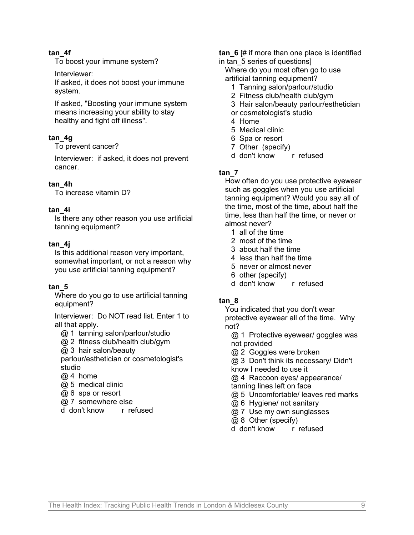### **tan\_4f**

To boost your immune system?

Interviewer:

If asked, it does not boost your immune system.

If asked, "Boosting your immune system means increasing your ability to stay healthy and fight off illness".

# **tan\_4g**

To prevent cancer?

Interviewer: if asked, it does not prevent cancer.

#### **tan\_4h**

To increase vitamin D?

#### **tan\_4i**

Is there any other reason you use artificial tanning equipment?

#### **tan\_4j**

Is this additional reason very important, somewhat important, or not a reason why you use artificial tanning equipment?

#### **tan\_5**

Where do you go to use artificial tanning equipment?

Interviewer: Do NOT read list. Enter 1 to all that apply.

@ 1 tanning salon/parlour/studio

@ 2 fitness club/health club/gym

@ 3 hair salon/beauty

parlour/esthetician or cosmetologist's studio

- @ 4 home
- @ 5 medical clinic
- @ 6 spa or resort
- @ 7 somewhere else
- d don't know r refused

**tan\_6** [# if more than one place is identified

in tan 5 series of questions] Where do you most often go to use

artificial tanning equipment?

- 1 Tanning salon/parlour/studio
- 2 Fitness club/health club/gym
- 3 Hair salon/beauty parlour/esthetician
- or cosmetologist's studio
- 4 Home
- 5 Medical clinic
- 6 Spa or resort
- 7 Other (specify)
- d don't know r refused

# **tan\_7**

[How often do you u](http://www.who.int/mediacentre/news/notes/2005/np07/en/index.html)se protective eyewear such as goggles when you use artificial tanning equipment? Would you say all of the time, most of the time, about half the time, less than half the time, or never or almost never?

- 1 all of the time
- 2 most of the time
- 3 about half the time
- 4 less than half the time
- 5 never or almost never
- 6 other (specify)
- d don't know r refused

#### **tan\_8**

You indicated that you don't wear protective eyewear all of the time. Why not?

@ 1 Protective eyewear/ goggles was not provided

@ 2 Goggles were broken

@ 3 Don't think its necessary/ Didn't

know I needed to use it

@ 4 Raccoon eyes/ appearance/

tanning lines left on face

- @ 5 Uncomfortable/ leaves red marks
- @ 6 Hygiene/ not sanitary
- @ 7 Use my own sunglasses
- @ 8 Other (specify)

d don't know r refused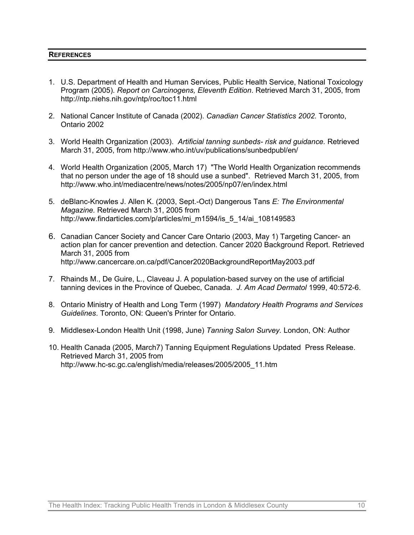#### **REFERENCES**

- 1. U.S. Department of Health and Human Services, Public Health Service, National Toxicology Program (2005). *Report on Carcinogens, Eleventh Edition*. Retrieved March 31, 2005, from http://ntp.niehs.nih.gov/ntp/roc/toc11.html
- 2. National Cancer Institute of Canada (2002). *Canadian Cancer Statistics 2002.* Toronto, Ontario 2002
- 3. World Health Organization (2003). *Artificial tanning sunbeds- risk and guidance.* Retrieved March 31, 2005, from http://www.who.int/uv/publications/sunbedpubl/en/
- 4. World Health Organization (2005, March 17) "The World Health Organization recommends that no pe[rson under the age of 18 sh](mailto:ruth.sanderson@mlhu.on.ca)ould use a sunbed". Retrieved March 31, 2005, from http://www.who.int/mediacentre/news/notes/2005/np07/en/index.html
- 5. deBlanc-Knowles J. Allen K. (2003, Sept.-Oct) Dangerous Tans *E: The Environmental Magazine.* Retrieved March 31, 2005 from http://www.findarticles.com/p/articles/mi\_m1594/is\_5\_14/ai\_108149583
- 6. Canadian Cancer Society and Cancer Care Ontario (2003, May 1) Targeting Cancer- an action plan for cancer prevention and detection. Cancer 2020 Background Report. Retrieved March 31, 2005 from http://www.cancercare.on.ca/pdf/Cancer2020BackgroundReportMay2003.pdf
- 7. Rhainds M., De Guire, L., Claveau J. A population-based survey on the use of artificial tanning devices in the Province of Quebec, Canada. *J. Am Acad Dermatol* 1999, 40:572-6.
- 8. Ontario Ministry of Health and Long Term (1997) *Mandatory Health Programs and Services Guidelines*. Toronto, ON: Queen's Printer for Ontario.
- 9. Middlesex-London Health Unit (1998, June) *Tanning Salon Survey.* London, ON: Author
- 10. Health Canada (2005, March7) Tanning Equipment Regulations Updated Press Release. Retrieved March 31, 2005 from http://www.hc-sc.gc.ca/english/media/releases/2005/2005\_11.htm